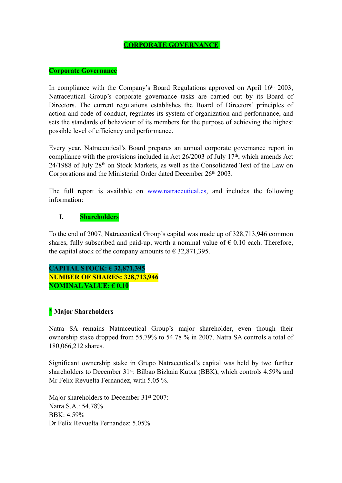### **CORPORATE GOVERNANCE**

#### **Corporate Governance**

In compliance with the Company's Board Regulations approved on April  $16<sup>th</sup> 2003$ , Natraceutical Group's corporate governance tasks are carried out by its Board of Directors. The current regulations establishes the Board of Directors' principles of action and code of conduct, regulates its system of organization and performance, and sets the standards of behaviour of its members for the purpose of achieving the highest possible level of efficiency and performance.

Every year, Natraceutical's Board prepares an annual corporate governance report in compliance with the provisions included in Act 26/2003 of July 17<sup>th</sup>, which amends Act 24/1988 of July 28th on Stock Markets, as well as the Consolidated Text of the Law on Corporations and the Ministerial Order dated December 26<sup>th</sup> 2003.

The full report is available on [www.natraceutical.es,](http://www.natraceutical.es) and includes the following information:

#### **I. Shareholders**

To the end of 2007, Natraceutical Group's capital was made up of 328,713,946 common shares, fully subscribed and paid-up, worth a nominal value of  $\epsilon$  0.10 each. Therefore, the capital stock of the company amounts to  $\epsilon$  32,871,395.

## **CAPITAL STOCK: € 32,871,395 NUMBER OF SHARES: 328,713,946 NOMINAL VALUE: € 0.10**

### **\* Major Shareholders**

Natra SA remains Natraceutical Group's major shareholder, even though their ownership stake dropped from 55.79% to 54.78 % in 2007. Natra SA controls a total of 180,066,212 shares.

Significant ownership stake in Grupo Natraceutical's capital was held by two further shareholders to December 31<sup>st</sup>: Bilbao Bizkaia Kutxa (BBK), which controls 4.59% and Mr Felix Revuelta Fernandez, with 5.05 %.

Major shareholders to December 31<sup>st</sup> 2007: Natra S.A.: 54.78% BBK: 4.59% Dr Felix Revuelta Fernandez: 5.05%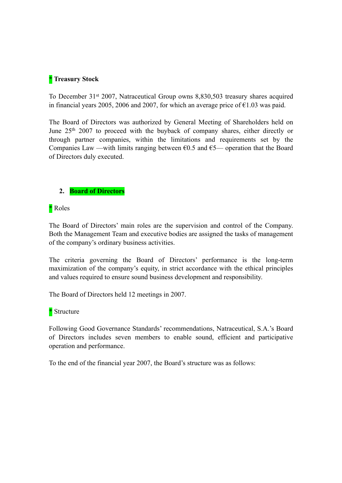### **\* Treasury Stock**

To December 31st 2007, Natraceutical Group owns 8,830,503 treasury shares acquired in financial years 2005, 2006 and 2007, for which an average price of  $\epsilon$ 1.03 was paid.

The Board of Directors was authorized by General Meeting of Shareholders held on June 25<sup>th</sup> 2007 to proceed with the buyback of company shares, either directly or through partner companies, within the limitations and requirements set by the Companies Law —with limits ranging between  $60.5$  and  $65$ — operation that the Board of Directors duly executed.

### **2. Board of Directors**

\* Roles

The Board of Directors' main roles are the supervision and control of the Company. Both the Management Team and executive bodies are assigned the tasks of management of the company's ordinary business activities.

The criteria governing the Board of Directors' performance is the long-term maximization of the company's equity, in strict accordance with the ethical principles and values required to ensure sound business development and responsibility.

The Board of Directors held 12 meetings in 2007.

### \* Structure

Following Good Governance Standards' recommendations, Natraceutical, S.A.'s Board of Directors includes seven members to enable sound, efficient and participative operation and performance.

To the end of the financial year 2007, the Board's structure was as follows: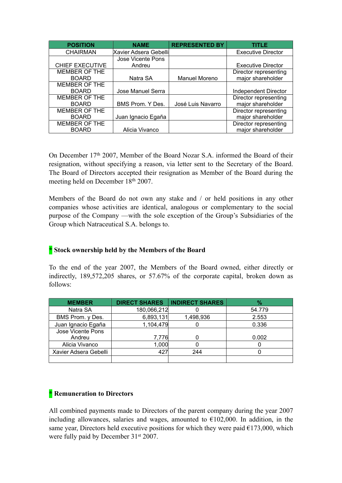| <b>POSITION</b>        | <b>NAME</b>           | <b>REPRESENTED BY</b> | <b>TITLE</b>              |
|------------------------|-----------------------|-----------------------|---------------------------|
| <b>CHAIRMAN</b>        | Xavier Adsera Gebelli |                       | <b>Executive Director</b> |
|                        | Jose Vicente Pons     |                       |                           |
| <b>CHIEF EXECUTIVE</b> | Andreu                |                       | <b>Executive Director</b> |
| MEMBER OF THE          |                       |                       | Director representing     |
| <b>BOARD</b>           | Natra SA              | <b>Manuel Moreno</b>  | major shareholder         |
| MEMBER OF THE          |                       |                       |                           |
| <b>BOARD</b>           | Jose Manuel Serra     |                       | Independent Director      |
| MEMBER OF THE          |                       |                       | Director representing     |
| <b>BOARD</b>           | BMS Prom. Y Des.      | José Luis Navarro     | major shareholder         |
| MEMBER OF THE          |                       |                       | Director representing     |
| <b>BOARD</b>           | Juan Ignacio Egaña    |                       | major shareholder         |
| MEMBER OF THE          |                       |                       | Director representing     |
| <b>BOARD</b>           | Alicia Vivanco        |                       | major shareholder         |

On December 17th 2007, Member of the Board Nozar S.A. informed the Board of their resignation, without specifying a reason, via letter sent to the Secretary of the Board. The Board of Directors accepted their resignation as Member of the Board during the meeting held on December 18th 2007.

Members of the Board do not own any stake and / or held positions in any other companies whose activities are identical, analogous or complementary to the social purpose of the Company —with the sole exception of the Group's Subsidiaries of the Group which Natraceutical S.A. belongs to.

## **\* Stock ownership held by the Members of the Board**

To the end of the year 2007, the Members of the Board owned, either directly or indirectly, 189,572,205 shares, or 57.67% of the corporate capital, broken down as follows:

| <b>MEMBER</b>         | <b>DIRECT SHARES</b> | <b>INDIRECT SHARES</b> | $\%$   |
|-----------------------|----------------------|------------------------|--------|
| Natra SA              | 180,066,212          |                        | 54.779 |
| BMS Prom. y Des.      | 6,893,131            | 1,498,936              | 2.553  |
| Juan Ignacio Egaña    | 1,104,479            |                        | 0.336  |
| Jose Vicente Pons     |                      |                        |        |
| Andreu                | 7,776                |                        | 0.002  |
| Alicia Vivanco        | 1,000                |                        |        |
| Xavier Adsera Gebelli | 427                  | 244                    |        |
|                       |                      |                        |        |

### **\* Remuneration to Directors**

All combined payments made to Directors of the parent company during the year 2007 including allowances, salaries and wages, amounted to  $\epsilon$ 102,000. In addition, in the same year, Directors held executive positions for which they were paid  $E173,000$ , which were fully paid by December 31<sup>st</sup> 2007.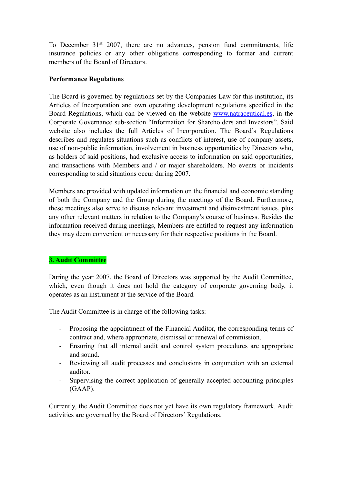To December 31st 2007, there are no advances, pension fund commitments, life insurance policies or any other obligations corresponding to former and current members of the Board of Directors.

### **Performance Regulations**

The Board is governed by regulations set by the Companies Law for this institution, its Articles of Incorporation and own operating development regulations specified in the Board Regulations, which can be viewed on the website [www.natraceutical.es,](http://www.natraceutical.es) in the Corporate Governance sub-section "Information for Shareholders and Investors". Said website also includes the full Articles of Incorporation. The Board's Regulations describes and regulates situations such as conflicts of interest, use of company assets, use of non-public information, involvement in business opportunities by Directors who, as holders of said positions, had exclusive access to information on said opportunities, and transactions with Members and / or major shareholders. No events or incidents corresponding to said situations occur during 2007.

Members are provided with updated information on the financial and economic standing of both the Company and the Group during the meetings of the Board. Furthermore, these meetings also serve to discuss relevant investment and disinvestment issues, plus any other relevant matters in relation to the Company's course of business. Besides the information received during meetings, Members are entitled to request any information they may deem convenient or necessary for their respective positions in the Board.

## **3. Audit Committee**

During the year 2007, the Board of Directors was supported by the Audit Committee, which, even though it does not hold the category of corporate governing body, it operates as an instrument at the service of the Board.

The Audit Committee is in charge of the following tasks:

- Proposing the appointment of the Financial Auditor, the corresponding terms of contract and, where appropriate, dismissal or renewal of commission.
- Ensuring that all internal audit and control system procedures are appropriate and sound.
- Reviewing all audit processes and conclusions in conjunction with an external auditor.
- Supervising the correct application of generally accepted accounting principles (GAAP).

Currently, the Audit Committee does not yet have its own regulatory framework. Audit activities are governed by the Board of Directors' Regulations.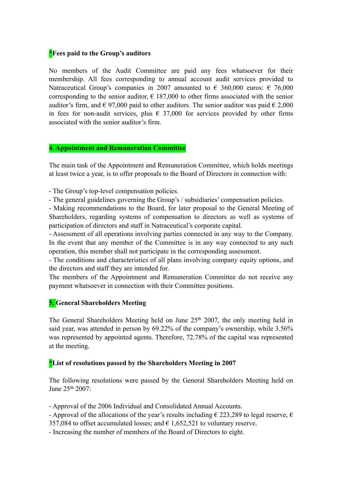### **\*Fees paid to the Group's auditors**

No members of the Audit Committee are paid any fees whatsoever for their membership. All fees corresponding to annual account audit services provided to Natraceutical Group's companies in 2007 amounted to  $\epsilon$  360,000 euros:  $\epsilon$  76,000 corresponding to the senior auditor,  $\epsilon$  187,000 to other firms associated with the senior auditor's firm, and  $\epsilon$  97,000 paid to other auditors. The senior auditor was paid  $\epsilon$  2,000 in fees for non-audit services, plus  $\epsilon$  37,000 for services provided by other firms associated with the senior auditor's firm.

#### **4. Appointment and Remuneration Committee**

The main task of the Appointment and Remuneration Committee, which holds meetings at least twice a year, is to offer proposals to the Board of Directors in connection with:

- The Group's top-level compensation policies.

- The general guidelines governing the Group's / subsidiaries' compensation policies.

- Making recommendations to the Board, for later proposal to the General Meeting of Shareholders, regarding systems of compensation to directors as well as systems of participation of directors and staff in Natraceutical's corporate capital.

- Assessment of all operations involving parties connected in any way to the Company. In the event that any member of the Committee is in any way connected to any such operation, this member shall not participate in the corresponding assessment.

- The conditions and characteristics of all plans involving company equity options, and the directors and staff they are intended for.

The members of the Appointment and Remuneration Committee do not receive any payment whatsoever in connection with their Committee positions.

## **5. General Shareholders Meeting**

The General Shareholders Meeting held on June 25<sup>th</sup> 2007, the only meeting held in said year, was attended in person by 69.22% of the company's ownership, while 3.56% was represented by appointed agents. Therefore, 72.78% of the capital was represented at the meeting.

### **\*List of resolutions passed by the Shareholders Meeting in 2007**

The following resolutions were passed by the General Shareholders Meeting held on June 25th 2007:

- Approval of the 2006 Individual and Consolidated Annual Accounts.

- Approval of the allocations of the year's results including  $\epsilon$  223,289 to legal reserve,  $\epsilon$ 

357,084 to offset accumulated losses; and  $\epsilon$  1,652,521 to voluntary reserve.

- Increasing the number of members of the Board of Directors to eight.